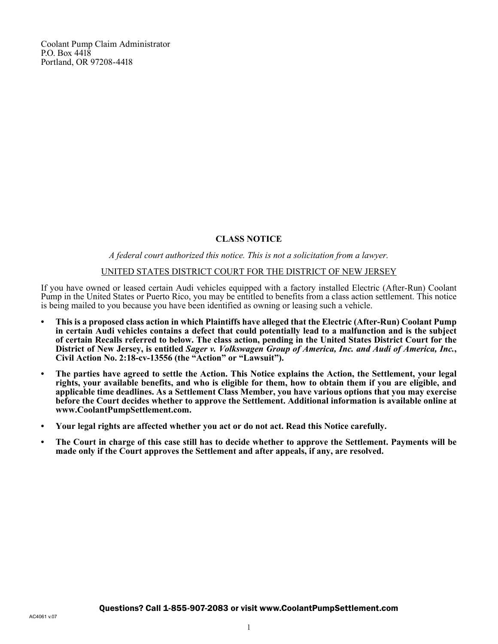Coolant Pump Claim Administrator P.O. Box 4418 Portland, OR 97208-4418

# **CLASS NOTICE**

## *A federal court authorized this notice. This is not a solicitation from a lawyer.*

#### UNITED STATES DISTRICT COURT FOR THE DISTRICT OF NEW JERSEY

If you have owned or leased certain Audi vehicles equipped with a factory installed Electric (After-Run) Coolant Pump in the United States or Puerto Rico, you may be entitled to benefits from a class action settlement. This notice is being mailed to you because you have been identified as owning or leasing such a vehicle.

- **• This is a proposed class action in which Plaintiffs have alleged that the Electric (After-Run) Coolant Pump in certain Audi vehicles contains a defect that could potentially lead to a malfunction and is the subject of certain Recalls referred to below. The class action, pending in the United States District Court for the District of New Jersey, is entitled** *Sager v. Volkswagen Group of America, Inc. and Audi of America, Inc.***, Civil Action No. 2:18-cv-13556 (the "Action" or "Lawsuit").**
- **• The parties have agreed to settle the Action. This Notice explains the Action, the Settlement, your legal rights, your available benefits, and who is eligible for them, how to obtain them if you are eligible, and applicable time deadlines. As a Settlement Class Member, you have various options that you may exercise before the Court decides whether to approve the Settlement. Additional information is available online at www.CoolantPumpSettlement.com.**
- **• Your legal rights are affected whether you act or do not act. Read this Notice carefully.**
- **• The Court in charge of this case still has to decide whether to approve the Settlement. Payments will be made only if the Court approves the Settlement and after appeals, if any, are resolved.**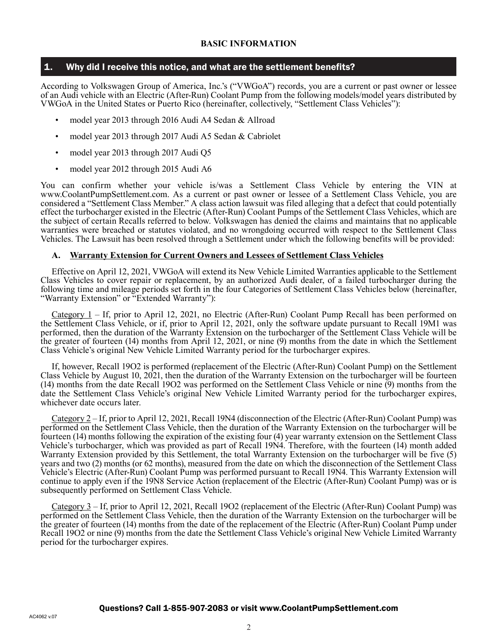## 1. Why did I receive this notice, and what are the settlement benefits?

According to Volkswagen Group of America, Inc.'s ("VWGoA") records, you are a current or past owner or lessee of an Audi vehicle with an Electric (After-Run) Coolant Pump from the following models/model years distributed by VWGoA in the United States or Puerto Rico (hereinafter, collectively, "Settlement Class Vehicles"):

- model year 2013 through 2016 Audi A4 Sedan & Allroad
- model year 2013 through 2017 Audi A5 Sedan & Cabriolet
- model year 2013 through 2017 Audi Q5
- model year 2012 through 2015 Audi A6

You can confirm whether your vehicle is/was a Settlement Class Vehicle by entering the VIN at www.CoolantPumpSettlement.com. As a current or past owner or lessee of a Settlement Class Vehicle, you are considered a "Settlement Class Member." A class action lawsuit was filed alleging that a defect that could potentially effect the turbocharger existed in the Electric (After-Run) Coolant Pumps of the Settlement Class Vehicles, which are the subject of certain Recalls referred to below. Volkswagen has denied the claims and maintains that no applicable warranties were breached or statutes violated, and no wrongdoing occurred with respect to the Settlement Class Vehicles. The Lawsuit has been resolved through a Settlement under which the following benefits will be provided:

#### **A. Warranty Extension for Current Owners and Lessees of Settlement Class Vehicles**

Effective on April 12, 2021, VWGoA will extend its New Vehicle Limited Warranties applicable to the Settlement Class Vehicles to cover repair or replacement, by an authorized Audi dealer, of a failed turbocharger during the following time and mileage periods set forth in the four Categories of Settlement Class Vehicles below (hereinafter, "Warranty Extension" or "Extended Warranty"):

Category 1 – If, prior to April 12, 2021, no Electric (After-Run) Coolant Pump Recall has been performed on the Settlement Class Vehicle, or if, prior to April 12, 2021, only the software update pursuant to Recall 19M1 was performed, then the duration of the Warranty Extension on the turbocharger of the Settlement Class Vehicle will be the greater of fourteen (14) months from April 12, 2021, or nine (9) months from the date in which the Settlement Class Vehicle's original New Vehicle Limited Warranty period for the turbocharger expires.

If, however, Recall 19O2 is performed (replacement of the Electric (After-Run) Coolant Pump) on the Settlement Class Vehicle by August 10, 2021, then the duration of the Warranty Extension on the turbocharger will be fourteen (14) months from the date Recall 19O2 was performed on the Settlement Class Vehicle or nine (9) months from the date the Settlement Class Vehicle's original New Vehicle Limited Warranty period for the turbocharger expires, whichever date occurs later.

Category 2 – If, prior to April 12, 2021, Recall 19N4 (disconnection of the Electric (After-Run) Coolant Pump) was performed on the Settlement Class Vehicle, then the duration of the Warranty Extension on the turbocharger will be fourteen (14) months following the expiration of the existing four (4) year warranty extension on the Settlement Class Vehicle's turbocharger, which was provided as part of Recall 19N4. Therefore, with the fourteen (14) month added Warranty Extension provided by this Settlement, the total Warranty Extension on the turbocharger will be five (5) years and two (2) months (or 62 months), measured from the date on which the disconnection of the Settlement Class Vehicle's Electric (After-Run) Coolant Pump was performed pursuant to Recall 19N4. This Warranty Extension will continue to apply even if the 19N8 Service Action (replacement of the Electric (After-Run) Coolant Pump) was or is subsequently performed on Settlement Class Vehicle.

Category 3 – If, prior to April 12, 2021, Recall 19O2 (replacement of the Electric (After-Run) Coolant Pump) was performed on the Settlement Class Vehicle, then the duration of the Warranty Extension on the turbocharger will be the greater of fourteen (14) months from the date of the replacement of the Electric (After-Run) Coolant Pump under Recall 19O2 or nine (9) months from the date the Settlement Class Vehicle's original New Vehicle Limited Warranty period for the turbocharger expires.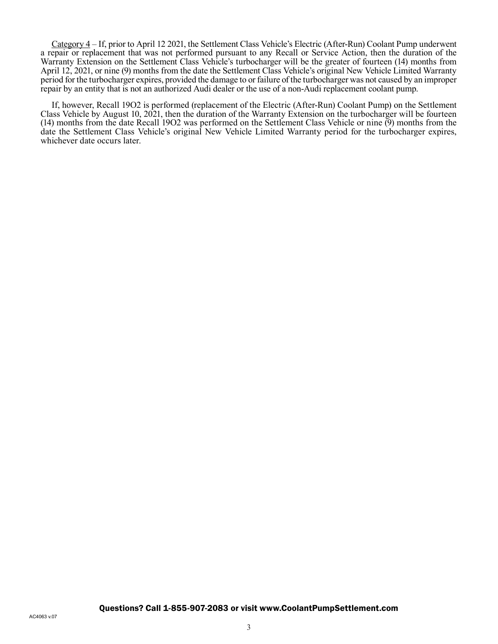Category 4 – If, prior to April 12 2021, the Settlement Class Vehicle's Electric (After-Run) Coolant Pump underwent a repair or replacement that was not performed pursuant to any Recall or Service Action, then the duration of the Warranty Extension on the Settlement Class Vehicle's turbocharger will be the greater of fourteen (14) months from April 12, 2021, or nine (9) months from the date the Settlement Class Vehicle's original New Vehicle Limited Warranty period for the turbocharger expires, provided the damage to or failure of the turbocharger was not caused by an improper repair by an entity that is not an authorized Audi dealer or the use of a non-Audi replacement coolant pump.

If, however, Recall 19O2 is performed (replacement of the Electric (After-Run) Coolant Pump) on the Settlement Class Vehicle by August 10, 2021, then the duration of the Warranty Extension on the turbocharger will be fourteen (14) months from the date Recall 19O2 was performed on the Settlement Class Vehicle or nine (9) months from the date the Settlement Class Vehicle's original New Vehicle Limited Warranty period for the turbocharger expires, whichever date occurs later.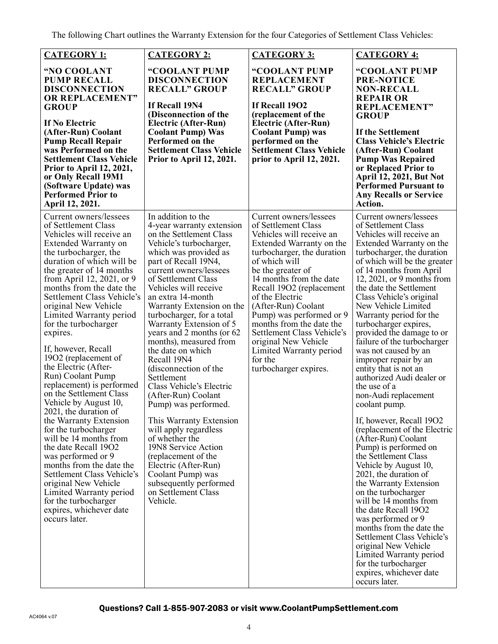The following Chart outlines the Warranty Extension for the four Categories of Settlement Class Vehicles:

|                                                                                                                                                                                                                                                                                                                                                                                                                                                                                                                                                                                                                                                                                                                                                                                                                                                                                    | <b>CATEGORY 2:</b>                                                                                                                                                                                                                                                                                                                                                                                                                                                                                                                                                                                                                                                                                                                                                                    |                                                                                                                                                                                                                                                                                                                                                                                                                                                         |                                                                                                                                                                                                                                                                                                                                                                                                                                                                                                                                                                                                                                                                                                                                                                                                                                                                                                                                                                                                                                                                                              |
|------------------------------------------------------------------------------------------------------------------------------------------------------------------------------------------------------------------------------------------------------------------------------------------------------------------------------------------------------------------------------------------------------------------------------------------------------------------------------------------------------------------------------------------------------------------------------------------------------------------------------------------------------------------------------------------------------------------------------------------------------------------------------------------------------------------------------------------------------------------------------------|---------------------------------------------------------------------------------------------------------------------------------------------------------------------------------------------------------------------------------------------------------------------------------------------------------------------------------------------------------------------------------------------------------------------------------------------------------------------------------------------------------------------------------------------------------------------------------------------------------------------------------------------------------------------------------------------------------------------------------------------------------------------------------------|---------------------------------------------------------------------------------------------------------------------------------------------------------------------------------------------------------------------------------------------------------------------------------------------------------------------------------------------------------------------------------------------------------------------------------------------------------|----------------------------------------------------------------------------------------------------------------------------------------------------------------------------------------------------------------------------------------------------------------------------------------------------------------------------------------------------------------------------------------------------------------------------------------------------------------------------------------------------------------------------------------------------------------------------------------------------------------------------------------------------------------------------------------------------------------------------------------------------------------------------------------------------------------------------------------------------------------------------------------------------------------------------------------------------------------------------------------------------------------------------------------------------------------------------------------------|
| <b>CATEGORY 1:</b>                                                                                                                                                                                                                                                                                                                                                                                                                                                                                                                                                                                                                                                                                                                                                                                                                                                                 |                                                                                                                                                                                                                                                                                                                                                                                                                                                                                                                                                                                                                                                                                                                                                                                       | <b>CATEGORY 3:</b>                                                                                                                                                                                                                                                                                                                                                                                                                                      | <b>CATEGORY 4:</b>                                                                                                                                                                                                                                                                                                                                                                                                                                                                                                                                                                                                                                                                                                                                                                                                                                                                                                                                                                                                                                                                           |
| "NO COOLANT<br><b>PUMP RECALL</b><br><b>DISCONNECTION</b><br><b>OR REPLACEMENT"</b><br><b>GROUP</b><br><b>If No Electric</b><br>(After-Run) Coolant<br><b>Pump Recall Repair</b><br>was Performed on the<br><b>Settlement Class Vehicle</b><br>Prior to April 12, 2021,<br>or Only Recall 19M1<br>(Software Update) was<br><b>Performed Prior to</b><br>April 12, 2021.                                                                                                                                                                                                                                                                                                                                                                                                                                                                                                            | "COOLANT PUMP<br><b>DISCONNECTION</b><br><b>RECALL" GROUP</b><br>If Recall 19N4<br>(Disconnection of the<br>Electric (After-Run)<br><b>Coolant Pump) Was</b><br>Performed on the<br><b>Settlement Class Vehicle</b><br>Prior to April 12, 2021.                                                                                                                                                                                                                                                                                                                                                                                                                                                                                                                                       | "COOLANT PUMP<br><b>REPLACEMENT</b><br><b>RECALL" GROUP</b><br>If Recall 1902<br>(replacement of the<br>Electric (After-Run)<br><b>Coolant Pump</b> ) was<br>performed on the<br><b>Settlement Class Vehicle</b><br>prior to April 12, 2021.                                                                                                                                                                                                            | "COOLANT PUMP<br><b>PRE-NOTICE</b><br><b>NON-RECALL</b><br><b>REPAIR OR</b><br><b>REPLACEMENT"</b><br><b>GROUP</b><br>If the Settlement<br><b>Class Vehicle's Electric</b><br>(After-Run) Coolant<br><b>Pump Was Repaired</b><br>or Replaced Prior to<br><b>April 12, 2021, But Not</b><br><b>Performed Pursuant to</b><br><b>Any Recalls or Service</b><br>Action.                                                                                                                                                                                                                                                                                                                                                                                                                                                                                                                                                                                                                                                                                                                          |
| Current owners/lessees<br>of Settlement Class<br>Vehicles will receive an<br>Extended Warranty on<br>the turbocharger, the<br>duration of which will be<br>the greater of 14 months<br>from April 12, 2021, or 9<br>months from the date the<br>Settlement Class Vehicle's<br>original New Vehicle<br>Limited Warranty period<br>for the turbocharger<br>expires.<br>If, however, Recall<br>1902 (replacement of<br>the Electric (After-<br>Run) Coolant Pump<br>replacement) is performed<br>on the Settlement Class<br>Vehicle by August 10,<br>2021, the duration of<br>the Warranty Extension<br>for the turbocharger<br>will be 14 months from<br>the date Recall 1902<br>was performed or 9<br>months from the date the<br>Settlement Class Vehicle's<br>original New Vehicle<br>Limited Warranty period<br>for the turbocharger<br>expires, whichever date<br>occurs later. | In addition to the<br>4-year warranty extension<br>on the Settlement Class<br>Vehicle's turbocharger,<br>which was provided as<br>part of Recall 19N4,<br>current owners/lessees<br>of Settlement Class<br>Vehicles will receive<br>an extra 14-month<br>Warranty Extension on the<br>turbocharger, for a total<br>Warranty Extension of 5<br>years and 2 months (or 62<br>months), measured from<br>the date on which<br>Recall 19N4<br>(disconnection of the<br>Settlement<br>Class Vehicle's Electric<br>(After-Run) Coolant<br>Pump) was performed.<br>This Warranty Extension<br>will apply regardless<br>of whether the<br>19N8 Service Action<br>(replacement of the<br>Electric (After-Run)<br>Coolant Pump) was<br>subsequently performed<br>on Settlement Class<br>Vehicle. | Current owners/lessees<br>of Settlement Class<br>Vehicles will receive an<br>Extended Warranty on the<br>turbocharger, the duration<br>of which will<br>be the greater of<br>14 months from the date<br>Recall 19O2 (replacement<br>of the Electric<br>(After-Run) Coolant<br>Pump) was performed or 9<br>months from the date the<br>Settlement Class Vehicle's<br>original New Vehicle<br>Limited Warranty period<br>for the<br>turbocharger expires. | Current owners/lessees<br>of Settlement Class<br>Vehicles will receive an<br>Extended Warranty on the<br>turbocharger, the duration<br>of which will be the greater<br>of 14 months from April<br>$12, 2021,$ or 9 months from<br>the date the Settlement<br>Class Vehicle's original<br>New Vehicle Limited<br>Warranty period for the<br>turbocharger expires,<br>provided the damage to or<br>failure of the turbocharger<br>was not caused by an<br>improper repair by an<br>entity that is not an<br>authorized Audi dealer or<br>the use of a<br>non-Audi replacement<br>coolant pump.<br>If, however, Recall 1902<br>(replacement of the Electric<br>(After-Run) Coolant<br>Pump) is performed on<br>the Settlement Class<br>Vehicle by August 10,<br>2021, the duration of<br>the Warranty Extension<br>on the turbocharger<br>will be 14 months from<br>the date Recall 1902<br>was performed or 9<br>months from the date the<br>Settlement Class Vehicle's<br>original New Vehicle<br>Limited Warranty period<br>for the turbocharger<br>expires, whichever date<br>occurs later. |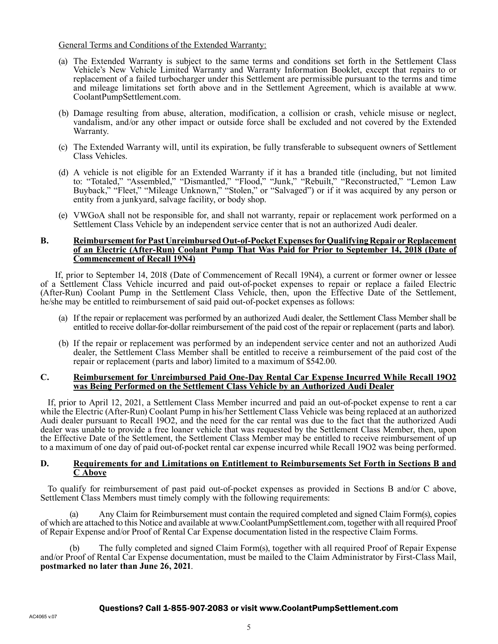#### General Terms and Conditions of the Extended Warranty:

- (a) The Extended Warranty is subject to the same terms and conditions set forth in the Settlement Class Vehicle's New Vehicle Limited Warranty and Warranty Information Booklet, except that repairs to or replacement of a failed turbocharger under this Settlement are permissible pursuant to the terms and time and mileage limitations set forth above and in the Settlement Agreement, which is available at www. CoolantPumpSettlement.com.
- (b) Damage resulting from abuse, alteration, modification, a collision or crash, vehicle misuse or neglect, vandalism, and/or any other impact or outside force shall be excluded and not covered by the Extended Warranty.
- (c) The Extended Warranty will, until its expiration, be fully transferable to subsequent owners of Settlement Class Vehicles.
- (d) A vehicle is not eligible for an Extended Warranty if it has a branded title (including, but not limited to: "Totaled," "Assembled," "Dismantled," "Flood," "Junk," "Rebuilt," "Reconstructed," "Lemon Law Buyback," "Fleet," "Mileage Unknown," "Stolen," or "Salvaged") or if it was acquired by any person or entity from a junkyard, salvage facility, or body shop.
- (e) VWGoA shall not be responsible for, and shall not warranty, repair or replacement work performed on a Settlement Class Vehicle by an independent service center that is not an authorized Audi dealer.

#### **B. Reimbursement for Past Unreimbursed Out-of-Pocket Expenses for Qualifying Repair or Replacement of an Electric (After-Run) Coolant Pump That Was Paid for Prior to September 14, 2018 (Date of Commencement of Recall 19N4)**

If, prior to September 14, 2018 (Date of Commencement of Recall 19N4), a current or former owner or lessee of a Settlement Class Vehicle incurred and paid out-of-pocket expenses to repair or replace a failed Electric (After-Run) Coolant Pump in the Settlement Class Vehicle, then, upon the Effective Date of the Settlement, he/she may be entitled to reimbursement of said paid out-of-pocket expenses as follows:

- (a) If the repair or replacement was performed by an authorized Audi dealer, the Settlement Class Member shall be entitled to receive dollar-for-dollar reimbursement of the paid cost of the repair or replacement (parts and labor).
- (b) If the repair or replacement was performed by an independent service center and not an authorized Audi dealer, the Settlement Class Member shall be entitled to receive a reimbursement of the paid cost of the repair or replacement (parts and labor) limited to a maximum of \$542.00.

#### **C. Reimbursement for Unreimbursed Paid One-Day Rental Car Expense Incurred While Recall 19O2 was Being Performed on the Settlement Class Vehicle by an Authorized Audi Dealer**

If, prior to April 12, 2021, a Settlement Class Member incurred and paid an out-of-pocket expense to rent a car while the Electric (After-Run) Coolant Pump in his/her Settlement Class Vehicle was being replaced at an authorized Audi dealer pursuant to Recall 19O2, and the need for the car rental was due to the fact that the authorized Audi dealer was unable to provide a free loaner vehicle that was requested by the Settlement Class Member, then, upon the Effective Date of the Settlement, the Settlement Class Member may be entitled to receive reimbursement of up to a maximum of one day of paid out-of-pocket rental car expense incurred while Recall 19O2 was being performed.

#### **D. Requirements for and Limitations on Entitlement to Reimbursements Set Forth in Sections B and C Above**

To qualify for reimbursement of past paid out-of-pocket expenses as provided in Sections B and/or C above, Settlement Class Members must timely comply with the following requirements:

(a) Any Claim for Reimbursement must contain the required completed and signed Claim Form(s), copies of which are attached to this Notice and available at www.CoolantPumpSettlement.com, together with all required Proof of Repair Expense and/or Proof of Rental Car Expense documentation listed in the respective Claim Forms.

(b) The fully completed and signed Claim Form(s), together with all required Proof of Repair Expense and/or Proof of Rental Car Expense documentation, must be mailed to the Claim Administrator by First-Class Mail, **postmarked no later than June 26, 2021**.

#### Questions? Call 1-855-907-2083 or visit www.CoolantPumpSettlement.com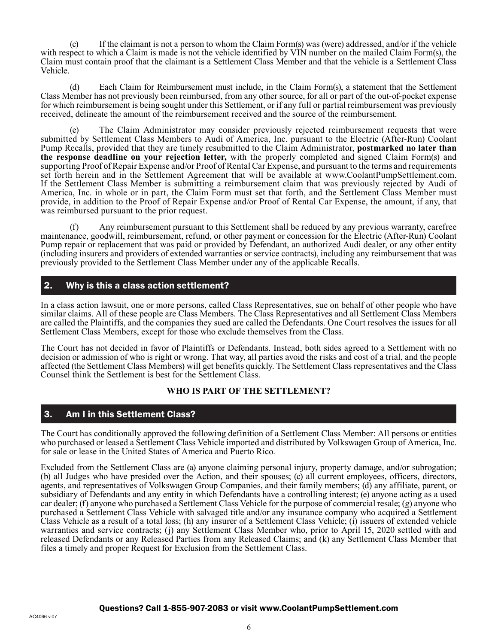(c) If the claimant is not a person to whom the Claim Form(s) was (were) addressed, and/or if the vehicle with respect to which a Claim is made is not the vehicle identified by VIN number on the mailed Claim Form(s), the Claim must contain proof that the claimant is a Settlement Class Member and that the vehicle is a Settlement Class Vehicle.

(d) Each Claim for Reimbursement must include, in the Claim Form(s), a statement that the Settlement Class Member has not previously been reimbursed, from any other source, for all or part of the out-of-pocket expense for which reimbursement is being sought under this Settlement, or if any full or partial reimbursement was previously received, delineate the amount of the reimbursement received and the source of the reimbursement.

(e) The Claim Administrator may consider previously rejected reimbursement requests that were submitted by Settlement Class Members to Audi of America, Inc. pursuant to the Electric (After-Run) Coolant Pump Recalls, provided that they are timely resubmitted to the Claim Administrator, **postmarked no later than the response deadline on your rejection letter,** with the properly completed and signed Claim Form(s) and supporting Proof of Repair Expense and/or Proof of Rental Car Expense, and pursuant to the terms and requirements set forth herein and in the Settlement Agreement that will be available at www.CoolantPumpSettlement.com. If the Settlement Class Member is submitting a reimbursement claim that was previously rejected by Audi of America, Inc. in whole or in part, the Claim Form must set that forth, and the Settlement Class Member must provide, in addition to the Proof of Repair Expense and/or Proof of Rental Car Expense, the amount, if any, that was reimbursed pursuant to the prior request.

(f) Any reimbursement pursuant to this Settlement shall be reduced by any previous warranty, carefree maintenance, goodwill, reimbursement, refund, or other payment or concession for the Electric (After-Run) Coolant Pump repair or replacement that was paid or provided by Defendant, an authorized Audi dealer, or any other entity (including insurers and providers of extended warranties or service contracts), including any reimbursement that was previously provided to the Settlement Class Member under any of the applicable Recalls.

## 2. Why is this a class action settlement?

In a class action lawsuit, one or more persons, called Class Representatives, sue on behalf of other people who have similar claims. All of these people are Class Members. The Class Representatives and all Settlement Class Members are called the Plaintiffs, and the companies they sued are called the Defendants. One Court resolves the issues for all Settlement Class Members, except for those who exclude themselves from the Class.

The Court has not decided in favor of Plaintiffs or Defendants. Instead, both sides agreed to a Settlement with no decision or admission of who is right or wrong. That way, all parties avoid the risks and cost of a trial, and the people affected (the Settlement Class Members) will get benefits quickly. The Settlement Class representatives and the Class Counsel think the Settlement is best for the Settlement Class.

## **WHO IS PART OF THE SETTLEMENT?**

## 3. Am I in this Settlement Class?

The Court has conditionally approved the following definition of a Settlement Class Member: All persons or entities who purchased or leased a Settlement Class Vehicle imported and distributed by Volkswagen Group of America, Inc. for sale or lease in the United States of America and Puerto Rico.

Excluded from the Settlement Class are (a) anyone claiming personal injury, property damage, and/or subrogation; (b) all Judges who have presided over the Action, and their spouses; (c) all current employees, officers, directors, agents, and representatives of Volkswagen Group Companies, and their family members; (d) any affiliate, parent, or subsidiary of Defendants and any entity in which Defendants have a controlling interest; (e) anyone acting as a used car dealer; (f) anyone who purchased a Settlement Class Vehicle for the purpose of commercial resale; (g) anyone who purchased a Settlement Class Vehicle with salvaged title and/or any insurance company who acquired a Settlement Class Vehicle as a result of a total loss; (h) any insurer of a Settlement Class Vehicle; (i) issuers of extended vehicle warranties and service contracts; (j) any Settlement Class Member who, prior to April 15, 2020 settled with and released Defendants or any Released Parties from any Released Claims; and (k) any Settlement Class Member that files a timely and proper Request for Exclusion from the Settlement Class.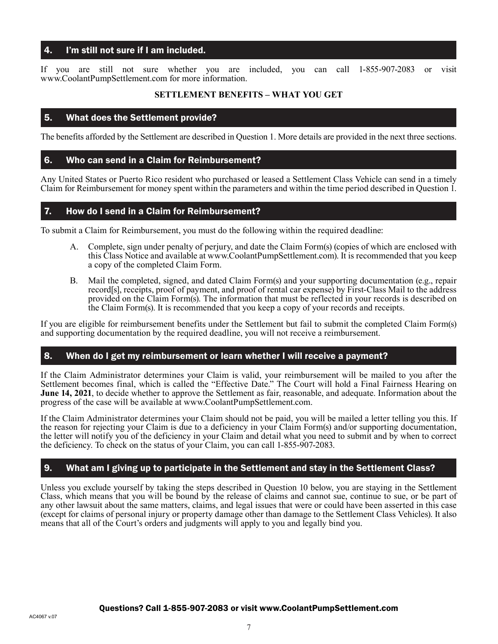## 4. I'm still not sure if I am included.

If you are still not sure whether you are included, you can call 1-855-907-2083 or visit www.CoolantPumpSettlement.com for more information.

#### **SETTLEMENT BENEFITS – WHAT YOU GET**

## 5. What does the Settlement provide?

The benefits afforded by the Settlement are described in Question 1. More details are provided in the next three sections.

## 6. Who can send in a Claim for Reimbursement?

Any United States or Puerto Rico resident who purchased or leased a Settlement Class Vehicle can send in a timely Claim for Reimbursement for money spent within the parameters and within the time period described in Question 1.

## 7. How do I send in a Claim for Reimbursement?

To submit a Claim for Reimbursement, you must do the following within the required deadline:

- A. Complete, sign under penalty of perjury, and date the Claim Form(s) (copies of which are enclosed with this Class Notice and available at www.CoolantPumpSettlement.com). It is recommended that you keep a copy of the completed Claim Form.
- B. Mail the completed, signed, and dated Claim Form(s) and your supporting documentation (e.g., repair record[s], receipts, proof of payment, and proof of rental car expense) by First-Class Mail to the address provided on the Claim Form(s). The information that must be reflected in your records is described on the Claim Form(s). It is recommended that you keep a copy of your records and receipts.

If you are eligible for reimbursement benefits under the Settlement but fail to submit the completed Claim Form(s) and supporting documentation by the required deadline, you will not receive a reimbursement.

## 8. When do I get my reimbursement or learn whether I will receive a payment?

If the Claim Administrator determines your Claim is valid, your reimbursement will be mailed to you after the Settlement becomes final, which is called the "Effective Date." The Court will hold a Final Fairness Hearing on **June 14, 2021**, to decide whether to approve the Settlement as fair, reasonable, and adequate. Information about the progress of the case will be available at www.CoolantPumpSettlement.com.

If the Claim Administrator determines your Claim should not be paid, you will be mailed a letter telling you this. If the reason for rejecting your Claim is due to a deficiency in your Claim Form(s) and/or supporting documentation, the letter will notify you of the deficiency in your Claim and detail what you need to submit and by when to correct the deficiency. To check on the status of your Claim, you can call 1-855-907-2083.

# 9. What am I giving up to participate in the Settlement and stay in the Settlement Class?

Unless you exclude yourself by taking the steps described in Question 10 below, you are staying in the Settlement Class, which means that you will be bound by the release of claims and cannot sue, continue to sue, or be part of any other lawsuit about the same matters, claims, and legal issues that were or could have been asserted in this case (except for claims of personal injury or property damage other than damage to the Settlement Class Vehicles). It also means that all of the Court's orders and judgments will apply to you and legally bind you.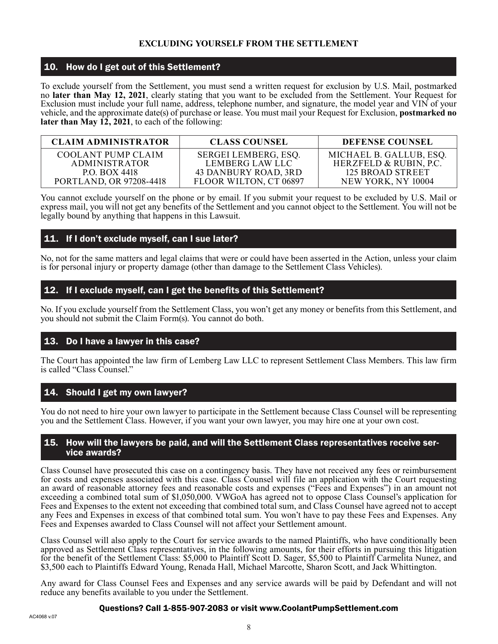## **EXCLUDING YOURSELF FROM THE SETTLEMENT**

## 10. How do I get out of this Settlement?

To exclude yourself from the Settlement, you must send a written request for exclusion by U.S. Mail, postmarked no **later than May 12, 2021**, clearly stating that you want to be excluded from the Settlement. Your Request for Exclusion must include your full name, address, telephone number, and signature, the model year and VIN of your vehicle, and the approximate date(s) of purchase or lease. You must mail your Request for Exclusion, **postmarked no later than May 12, 2021**, to each of the following:

| <b>CLAIM ADMINISTRATOR</b>     | <b>CLASS COUNSEL</b>   | <b>DEFENSE COUNSEL</b>  |
|--------------------------------|------------------------|-------------------------|
| COOLANT PUMP CLAIM             | SERGEI LEMBERG, ESQ.   | MICHAEL B. GALLUB, ESQ. |
| <b>ADMINISTRATOR</b>           | LEMBERG LAW LLC        | HERZFELD & RUBIN, P.C.  |
| <b>P.O. BOX 4418</b>           | 43 DANBURY ROAD, 3RD   | 125 BROAD STREET        |
| <b>PORTLAND, OR 97208-4418</b> | FLOOR WILTON, CT 06897 | NEW YORK, NY 10004      |

You cannot exclude yourself on the phone or by email. If you submit your request to be excluded by U.S. Mail or express mail, you will not get any benefits of the Settlement and you cannot object to the Settlement. You will not be legally bound by anything that happens in this Lawsuit.

# 11. If I don't exclude myself, can I sue later?

No, not for the same matters and legal claims that were or could have been asserted in the Action, unless your claim is for personal injury or property damage (other than damage to the Settlement Class Vehicles).

# 12. If I exclude myself, can I get the benefits of this Settlement?

No. If you exclude yourself from the Settlement Class, you won't get any money or benefits from this Settlement, and you should not submit the Claim Form(s). You cannot do both.

# 13. Do I have a lawyer in this case?

The Court has appointed the law firm of Lemberg Law LLC to represent Settlement Class Members. This law firm is called "Class Counsel."

# 14. Should I get my own lawyer?

You do not need to hire your own lawyer to participate in the Settlement because Class Counsel will be representing you and the Settlement Class. However, if you want your own lawyer, you may hire one at your own cost.

# 15. How will the lawyers be paid, and will the Settlement Class representatives receive ser- vice awards?

Class Counsel have prosecuted this case on a contingency basis. They have not received any fees or reimbursement for costs and expenses associated with this case. Class Counsel will file an application with the Court requesting an award of reasonable attorney fees and reasonable costs and expenses ("Fees and Expenses") in an amount not exceeding a combined total sum of \$1,050,000. VWGoA has agreed not to oppose Class Counsel's application for Fees and Expenses to the extent not exceeding that combined total sum, and Class Counsel have agreed not to accept any Fees and Expenses in excess of that combined total sum. You won't have to pay these Fees and Expenses. Any Fees and Expenses awarded to Class Counsel will not affect your Settlement amount.

Class Counsel will also apply to the Court for service awards to the named Plaintiffs, who have conditionally been approved as Settlement Class representatives, in the following amounts, for their efforts in pursuing this litigation for the benefit of the Settlement Class: \$5,000 to Plaintiff Scott D. Sager, \$5,500 to Plaintiff Carmelita Nunez, and \$3,500 each to Plaintiffs Edward Young, Renada Hall, Michael Marcotte, Sharon Scott, and Jack Whittington.

Any award for Class Counsel Fees and Expenses and any service awards will be paid by Defendant and will not reduce any benefits available to you under the Settlement.

## Questions? Call 1-855-907-2083 or visit www.CoolantPumpSettlement.com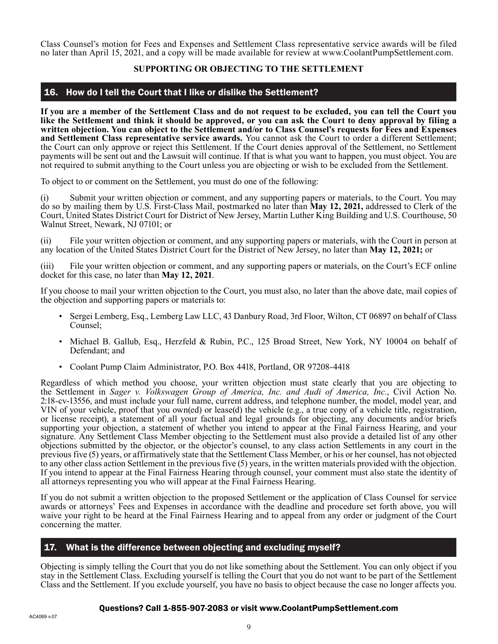Class Counsel's motion for Fees and Expenses and Settlement Class representative service awards will be filed no later than April 15, 2021, and a copy will be made available for review at www.CoolantPumpSettlement.com.

## **SUPPORTING OR OBJECTING TO THE SETTLEMENT**

## 16. How do I tell the Court that I like or dislike the Settlement?

**If you are a member of the Settlement Class and do not request to be excluded, you can tell the Court you like the Settlement and think it should be approved, or you can ask the Court to deny approval by filing a written objection. You can object to the Settlement and/or to Class Counsel's requests for Fees and Expenses and Settlement Class representative service awards.** You cannot ask the Court to order a different Settlement; the Court can only approve or reject this Settlement. If the Court denies approval of the Settlement, no Settlement payments will be sent out and the Lawsuit will continue. If that is what you want to happen, you must object. You are not required to submit anything to the Court unless you are objecting or wish to be excluded from the Settlement.

To object to or comment on the Settlement, you must do one of the following:

(i) Submit your written objection or comment, and any supporting papers or materials, to the Court. You may do so by mailing them by U.S. First-Class Mail, postmarked no later than **May 12, 2021,** addressed to Clerk of the Court, United States District Court for District of New Jersey, Martin Luther King Building and U.S. Courthouse, 50 Walnut Street, Newark, NJ 07101; or

(ii) File your written objection or comment, and any supporting papers or materials, with the Court in person at any location of the United States District Court for the District of New Jersey, no later than **May 12, 2021;** or

(iii) File your written objection or comment, and any supporting papers or materials, on the Court's ECF online docket for this case, no later than **May 12, 2021**.

If you choose to mail your written objection to the Court, you must also, no later than the above date, mail copies of the objection and supporting papers or materials to:

- Sergei Lemberg, Esq., Lemberg Law LLC, 43 Danbury Road, 3rd Floor, Wilton, CT 06897 on behalf of Class Counsel;
- Michael B. Gallub, Esq., Herzfeld & Rubin, P.C., 125 Broad Street, New York, NY 10004 on behalf of Defendant; and
- Coolant Pump Claim Administrator, P.O. Box 4418, Portland, OR 97208-4418

Regardless of which method you choose, your written objection must state clearly that you are objecting to the Settlement in *Sager v. Volkswagen Group of America, Inc. and Audi of America, Inc.*, Civil Action No. 2:18-cv-13556, and must include your full name, current address, and telephone number, the model, model year, and VIN of your vehicle, proof that you own(ed) or lease(d) the vehicle (e.g., a true copy of a vehicle title, registration, or license receipt), a statement of all your factual and legal grounds for objecting, any documents and/or briefs supporting your objection, a statement of whether you intend to appear at the Final Fairness Hearing, and your signature. Any Settlement Class Member objecting to the Settlement must also provide a detailed list of any other objections submitted by the objector, or the objector's counsel, to any class action Settlements in any court in the previous five (5) years, or affirmatively state that the Settlement Class Member, or his or her counsel, has not objected to any other class action Settlement in the previous five (5) years, in the written materials provided with the objection. If you intend to appear at the Final Fairness Hearing through counsel, your comment must also state the identity of all attorneys representing you who will appear at the Final Fairness Hearing.

If you do not submit a written objection to the proposed Settlement or the application of Class Counsel for service awards or attorneys' Fees and Expenses in accordance with the deadline and procedure set forth above, you will waive your right to be heard at the Final Fairness Hearing and to appeal from any order or judgment of the Court concerning the matter.

## 17. What is the difference between objecting and excluding myself?

Objecting is simply telling the Court that you do not like something about the Settlement. You can only object if you stay in the Settlement Class. Excluding yourself is telling the Court that you do not want to be part of the Settlement Class and the Settlement. If you exclude yourself, you have no basis to object because the case no longer affects you.

## Questions? Call 1-855-907-2083 or visit www.CoolantPumpSettlement.com